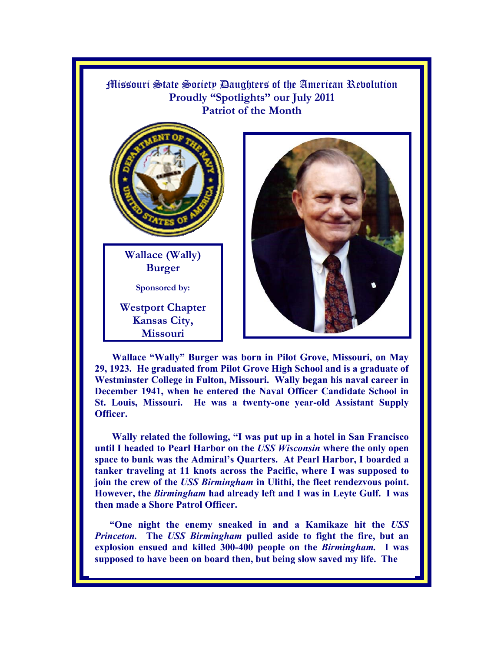

**Wallace "Wally" Burger was born in Pilot Grove, Missouri, on May 29, 1923. He graduated from Pilot Grove High School and is a graduate of Westminster College in Fulton, Missouri. Wally began his naval career in December 1941, when he entered the Naval Officer Candidate School in St. Louis, Missouri. He was a twenty-one year-old Assistant Supply Officer.** 

**Wally related the following, "I was put up in a hotel in San Francisco until I headed to Pearl Harbor on the** *USS Wisconsin* **where the only open space to bunk was the Admiral's Quarters. At Pearl Harbor, I boarded a tanker traveling at 11 knots across the Pacific, where I was supposed to join the crew of the** *USS Birmingham* **in Ulithi, the fleet rendezvous point. However, the** *Birmingham* **had already left and I was in Leyte Gulf. I was then made a Shore Patrol Officer.** 

**"One night the enemy sneaked in and a Kamikaze hit the** *USS Princeton.* **The** *USS Birmingham* **pulled aside to fight the fire, but an explosion ensued and killed 300-400 people on the** *Birmingham.* **I was supposed to have been on board then, but being slow saved my life. The**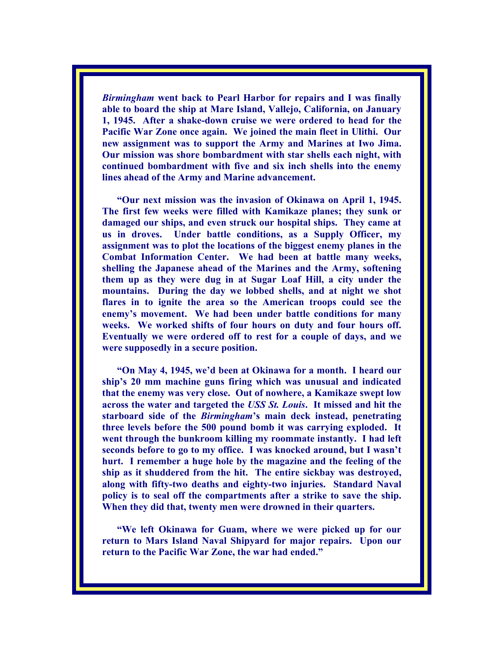*Birmingham* **went back to Pearl Harbor for repairs and I was finally able to board the ship at Mare Island, Vallejo, California, on January 1, 1945. After a shake-down cruise we were ordered to head for the Pacific War Zone once again. We joined the main fleet in Ulithi. Our new assignment was to support the Army and Marines at Iwo Jima. Our mission was shore bombardment with star shells each night, with continued bombardment with five and six inch shells into the enemy lines ahead of the Army and Marine advancement.** 

**"Our next mission was the invasion of Okinawa on April 1, 1945. The first few weeks were filled with Kamikaze planes; they sunk or damaged our ships, and even struck our hospital ships. They came at us in droves. Under battle conditions, as a Supply Officer, my assignment was to plot the locations of the biggest enemy planes in the Combat Information Center. We had been at battle many weeks, shelling the Japanese ahead of the Marines and the Army, softening them up as they were dug in at Sugar Loaf Hill, a city under the mountains. During the day we lobbed shells, and at night we shot flares in to ignite the area so the American troops could see the enemy's movement. We had been under battle conditions for many weeks. We worked shifts of four hours on duty and four hours off. Eventually we were ordered off to rest for a couple of days, and we were supposedly in a secure position.** 

**"On May 4, 1945, we'd been at Okinawa for a month. I heard our ship's 20 mm machine guns firing which was unusual and indicated that the enemy was very close. Out of nowhere, a Kamikaze swept low across the water and targeted the** *USS St. Louis***. It missed and hit the starboard side of the** *Birmingham***'s main deck instead, penetrating three levels before the 500 pound bomb it was carrying exploded. It went through the bunkroom killing my roommate instantly. I had left seconds before to go to my office. I was knocked around, but I wasn't hurt. I remember a huge hole by the magazine and the feeling of the ship as it shuddered from the hit. The entire sickbay was destroyed, along with fifty-two deaths and eighty-two injuries. Standard Naval policy is to seal off the compartments after a strike to save the ship. When they did that, twenty men were drowned in their quarters.** 

**"We left Okinawa for Guam, where we were picked up for our return to Mars Island Naval Shipyard for major repairs. Upon our return to the Pacific War Zone, the war had ended."**